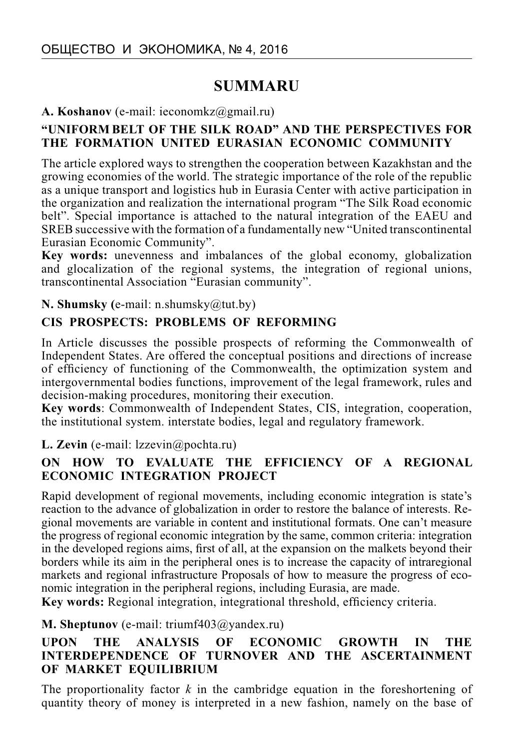# **SUMMARU**

#### **А. Koshanov** (e-mail: ieconomkz@gmail.ru)

#### **"UNIFORM BELT OF THE SILK ROAD" AND THE PERSPECTIVES FOR THE FORMATION UNITED EURASIAN ECONOMIC COMMUNITY**

The article explored ways to strengthen the cooperation between Kazakhstan and the growing economies of the world. The strategic importance of the role of the republic as a unique transport and logistics hub in Eurasia Center with active participation in the organization and realization the international program "The Silk Road economic belt". Special importance is attached to the natural integration of the EAEU and SREB successive with the formation of a fundamentally new "United transcontinental Eurasian Economic Community".

**Key words:** unevenness and imbalances of the global economy, globalization and glocalization of the regional systems, the integration of regional unions, transcontinental Association "Eurasian community".

#### **N. Shumsky (**e-mail: n.shumsky@tut.by)

#### **CIS PROSPECTS: PROBLEMS OF REFORMING**

In Article discusses the possible prospects of reforming the Commonwealth of Independent States. Are offered the conceptual positions and directions of increase of efficiency of functioning of the Commonwealth, the optimization system and intergovernmental bodies functions, improvement of the legal framework, rules and decision-making procedures, monitoring their execution.

**Key words**: Commonwealth of Independent States, CIS, integration, cooperation, the institutional system. interstate bodies, legal and regulatory framework.

#### **L. Zevin** (e-mail: lzzevin@pochta.ru)

#### **ON HOW TO EVALUATE THE EFFICIENCY OF A REGIONAL ECONOMIC INTEGRATION PROJECT**

Rapid development of regional movements, including economic integration is state's reaction to the advance of globalization in order to restore the balance of interests. Regional movements are variable in content and institutional formats. One can't measure the progress of regional economic integration by the same, common criteria: integration in the developed regions aims, first of all, at the expansion on the malkets beyond their borders while its aim in the peripheral ones is to increase the capacity of intraregional markets and regional infrastructure Proposals of how to measure the progress of economic integration in the peripheral regions, including Eurasia, are made.

Key words: Regional integration, integrational threshold, efficiency criteria.

#### **M. Sheptunov** (е-mail: triumf403@yandex.ru)

#### **UPON THE ANALYSIS OF ECONOMIC GROWTH IN THE INTERDEPENDENCE OF TURNOVER AND THE ASCERTAINMENT OF MARKET EQUILIBRIUM**

The proportionality factor *k* in the cambridge equation in the foreshortening of quantity theory of money is interpreted in a new fashion, namely on the base of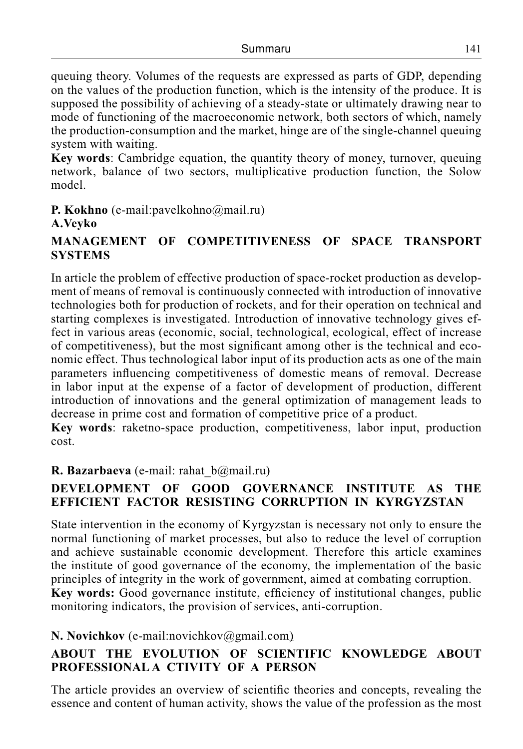queuing theory. Volumes of the requests are expressed as parts of GDP, depending on the values of the production function, which is the intensity of the produce. It is supposed the possibility of achieving of a steady-state or ultimately drawing near to mode of functioning of the macroeconomic network, both sectors of which, namely the production-consumption and the market, hinge are of the single-channel queuing system with waiting.

**Key words**: Cambridge equation, the quantity theory of money, turnover, queuing network, balance of two sectors, multiplicative production function, the Solow model.

#### **P. Kokhno** (e-mail:pavelkohno@mail.ru) **A.Veyko**

# **MANAGEMENT OF COMPETITIVENESS OF SPACE TRANSPORT SYSTEMS**

In article the problem of effective production of space-rocket production as development of means of removal is continuously connected with introduction of innovative technologies both for production of rockets, and for their operation on technical and starting complexes is investigated. Introduction of innovative technology gives effect in various areas (economic, social, technological, ecological, effect of increase of competitiveness), but the most significant among other is the technical and economic effect. Thus technological labor input of its production acts as one of the main parameters influencing competitiveness of domestic means of removal. Decrease in labor input at the expense of a factor of development of production, different introduction of innovations and the general optimization of management leads to decrease in prime cost and formation of competitive price of a product.

**Key words**: raketno-space production, competitiveness, labor input, production cost.

# **R. Bazarbaeva** (e-mail: rahat b@mail.ru)

#### **DEVELOPMENT OF GOOD GOVERNANCE INSTITUTE AS THE EFFICIENT FACTOR RESISTING CORRUPTION IN KYRGYZSTAN**

State intervention in the economy of Kyrgyzstan is necessary not only to ensure the normal functioning of market processes, but also to reduce the level of corruption and achieve sustainable economic development. Therefore this article examines the institute of good governance of the economy, the implementation of the basic principles of integrity in the work of government, aimed at combating corruption. **Key words:** Good governance institute, efficiency of institutional changes, public monitoring indicators, the provision of services, anti-corruption.

# **N. Novichkov** (e-mail:novichkov@gmail.com)

# **ABOUT THE EVOLUTION OF SCIENTIFIC KNOWLEDGE ABOUT PROFESSIONAL A CTIVITY OF A PERSON**

The article provides an overview of scientific theories and concepts, revealing the essence and content of human activity, shows the value of the profession as the most